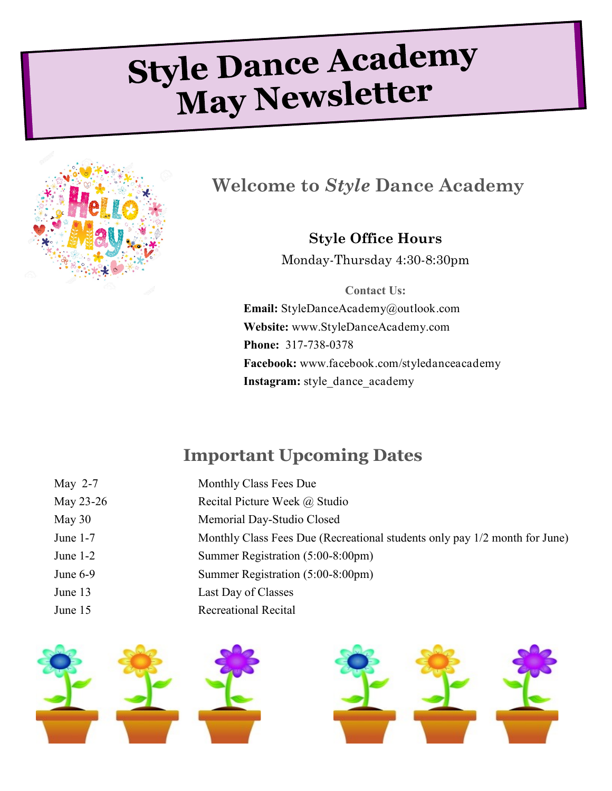# Style Dance Academy May Newsletter



**Welcome to** *Style* **Dance Academy**

**Style Office Hours** Monday-Thursday 4:30-8:30pm

**Contact Us: Email:** StyleDanceAcademy@outlook.com **Website:** www.StyleDanceAcademy.com **Phone:** 317-738-0378 **Facebook:** www.facebook.com/styledanceacademy Instagram: style\_dance\_academy

## **Important Upcoming Dates**

| May $2-7$  | Monthly Class Fees Due                                                     |
|------------|----------------------------------------------------------------------------|
| May 23-26  | Recital Picture Week @ Studio                                              |
| May $30$   | Memorial Day-Studio Closed                                                 |
| June $1-7$ | Monthly Class Fees Due (Recreational students only pay 1/2 month for June) |
| June $1-2$ | Summer Registration (5:00-8:00pm)                                          |
| June $6-9$ | Summer Registration (5:00-8:00pm)                                          |
| June 13    | Last Day of Classes                                                        |
| June 15    | <b>Recreational Recital</b>                                                |
|            |                                                                            |